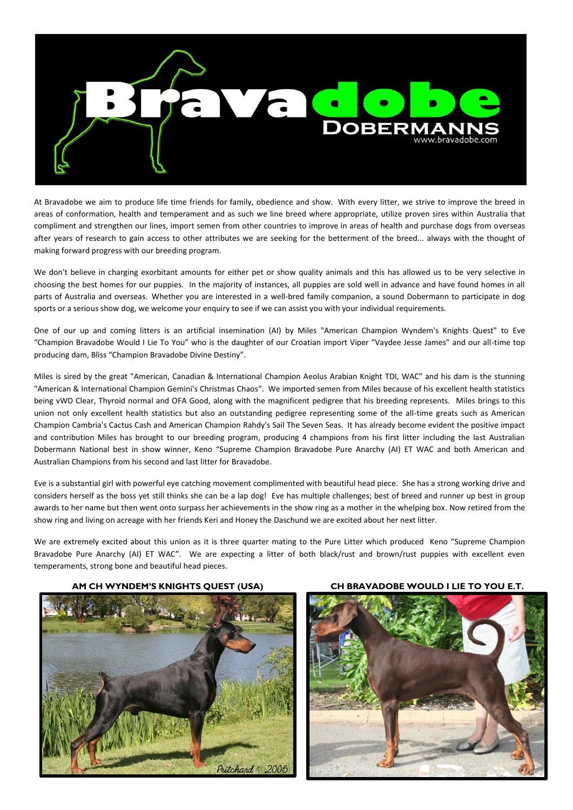

At Bravadobe we aim to produce life time friends for family, obedience and show. With every litter, we strive to improve the breed in areas of conformation, health and temperament and as such we line breed where appropriate, utilize proven sires within Australia that compliment and strengthen our lines, import semen from other countries to improve in areas of health and purchase dogs from overseas after years of research to gain access to other attributes we are seeking for the betterment of the breed... always with the thought of making forward progress with our breeding program.

We don't believe in charging exorbitant amounts for either pet or show quality animals and this has allowed us to be very selective in choosing the best homes for our puppies. In the majority of instances, all puppies are sold well in advance and have found homes in all parts of Australia and overseas. Whether you are interested in a well-bred family companion, a sound Dobermann to participate in dog sports or a serious show dog, we welcome your enquiry to see if we can assist you with your individual requirements.

One of our up and coming litters is an artificial insemination (AI) by Miles "American Champion Wyndem's Knights Quest" to Eve "Champion Bravadobe Would I Lie To You" who is the daughter of our Croatian import Viper "Vaydee Jesse James" and our all-time top producing dam, Bliss "Champion Bravadobe Divine Destiny".

Miles is sired by the great "American, Canadian & International Champion Aeolus Arabian Knight TDI, WAC" and his dam is the stunning "American & International Champion Gemini's Christmas Chaos". We imported semen from Miles because of his excellent health statistics being vWD Clear, Thyroid normal and OFA Good, along with the magnificent pedigree that his breeding represents. Miles brings to this union not only excellent health statistics but also an outstanding pedigree representing some of the all-time greats such as American Champion Cambria's Cactus Cash and American Champion Rahdy's Sail The Seven Seas. It has already become evident the positive impact and contribution Miles has brought to our breeding program, producing 4 champions from his first litter including the last Australian Dobermann National best in show winner, Keno "Supreme Champion Bravadobe Pure Anarchy (AI) ET WAC and both American and Australian Champions from his second and last litter for Bravadobe.

Eve is a substantial girl with powerful eye catching movement complimented with beautiful head piece. She has a strong working drive and considers herself as the boss yet still thinks she can be a lap dog! Eve has multiple challenges; best of breed and runner up best in group awards to her name but then went onto surpass her achievements in the show ring as a mother in the whelping box. Now retired from the show ring and living on acreage with her friends Keri and Honey the Daschund we are excited about her next litter.

We are extremely excited about this union as it is three quarter mating to the Pure Litter which produced Keno "Supreme Champion Bravadobe Pure Anarchy (AI) ET WAC". We are expecting a litter of both black/rust and brown/rust puppies with excellent even temperaments, strong bone and beautiful head pieces.